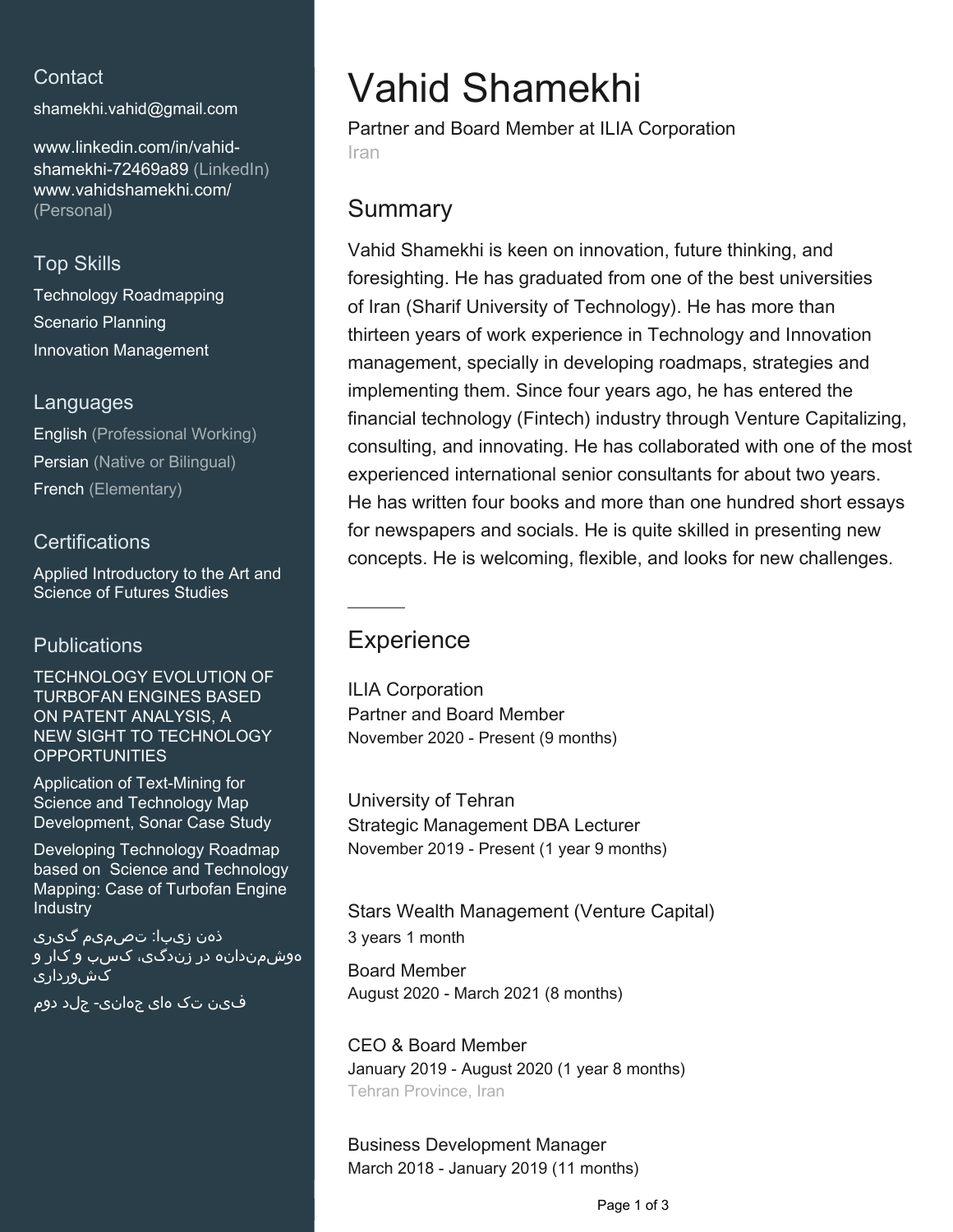## **Contact**

[shamekhi.vahid@gmail.com](mailto:shamekhi.vahid@gmail.com)

[www.linkedin.com/in/vahid](https://www.linkedin.com/in/vahid-shamekhi-72469a89?jobid=1234&lipi=urn%3Ali%3Apage%3Ad_jobs_easyapply_pdfgenresume%3B3M6jcZDUSwykbrK2325ojQ%3D%3D&licu=urn%3Ali%3Acontrol%3Ad_jobs_easyapply_pdfgenresume-v02_profile)[shamekhi-72469a89 \(LinkedIn\)](https://www.linkedin.com/in/vahid-shamekhi-72469a89?jobid=1234&lipi=urn%3Ali%3Apage%3Ad_jobs_easyapply_pdfgenresume%3B3M6jcZDUSwykbrK2325ojQ%3D%3D&licu=urn%3Ali%3Acontrol%3Ad_jobs_easyapply_pdfgenresume-v02_profile) [www.vahidshamekhi.com/](http://www.vahidshamekhi.com/) [\(Personal\)](http://www.vahidshamekhi.com/)

### Top Skills

Technology Roadmapping Scenario Planning Innovation Management

### Languages

English (Professional Working) Persian (Native or Bilingual) French (Elementary)

### **Certifications**

Applied Introductory to the Art and Science of Futures Studies

### **Publications**

TECHNOLOGY EVOLUTION OF TURBOFAN ENGINES BASED ON PATENT ANALYSIS, A NEW SIGHT TO TECHNOLOGY **OPPORTUNITIES** 

Application of Text-Mining for Science and Technology Map Development, Sonar Case Study

Developing Technology Roadmap based on Science and Technology Mapping: Case of Turbofan Engine **Industry** 

ذهن زیبا: تصمیم گیری هوشمندانه در زندگی، کسب و کار و ٔ کش<u>ور</u>داری

فین تک های جهانی- جلد دوم

# Vahid Shamekhi

Partner and Board Member at ILIA Corporation Iran

## **Summary**

Vahid Shamekhi is keen on innovation, future thinking, and foresighting. He has graduated from one of the best universities of Iran (Sharif University of Technology). He has more than thirteen years of work experience in Technology and Innovation management, specially in developing roadmaps, strategies and implementing them. Since four years ago, he has entered the financial technology (Fintech) industry through Venture Capitalizing, consulting, and innovating. He has collaborated with one of the most experienced international senior consultants for about two years. He has written four books and more than one hundred short essays for newspapers and socials. He is quite skilled in presenting new concepts. He is welcoming, flexible, and looks for new challenges.

# **Experience**

ILIA Corporation Partner and Board Member November 2020 - Present (9 months)

University of Tehran Strategic Management DBA Lecturer November 2019 - Present (1 year 9 months)

Stars Wealth Management (Venture Capital) 3 years 1 month

Board Member August 2020 - March 2021 (8 months)

CEO & Board Member January 2019 - August 2020 (1 year 8 months) Tehran Province, Iran

Business Development Manager March 2018 - January 2019 (11 months)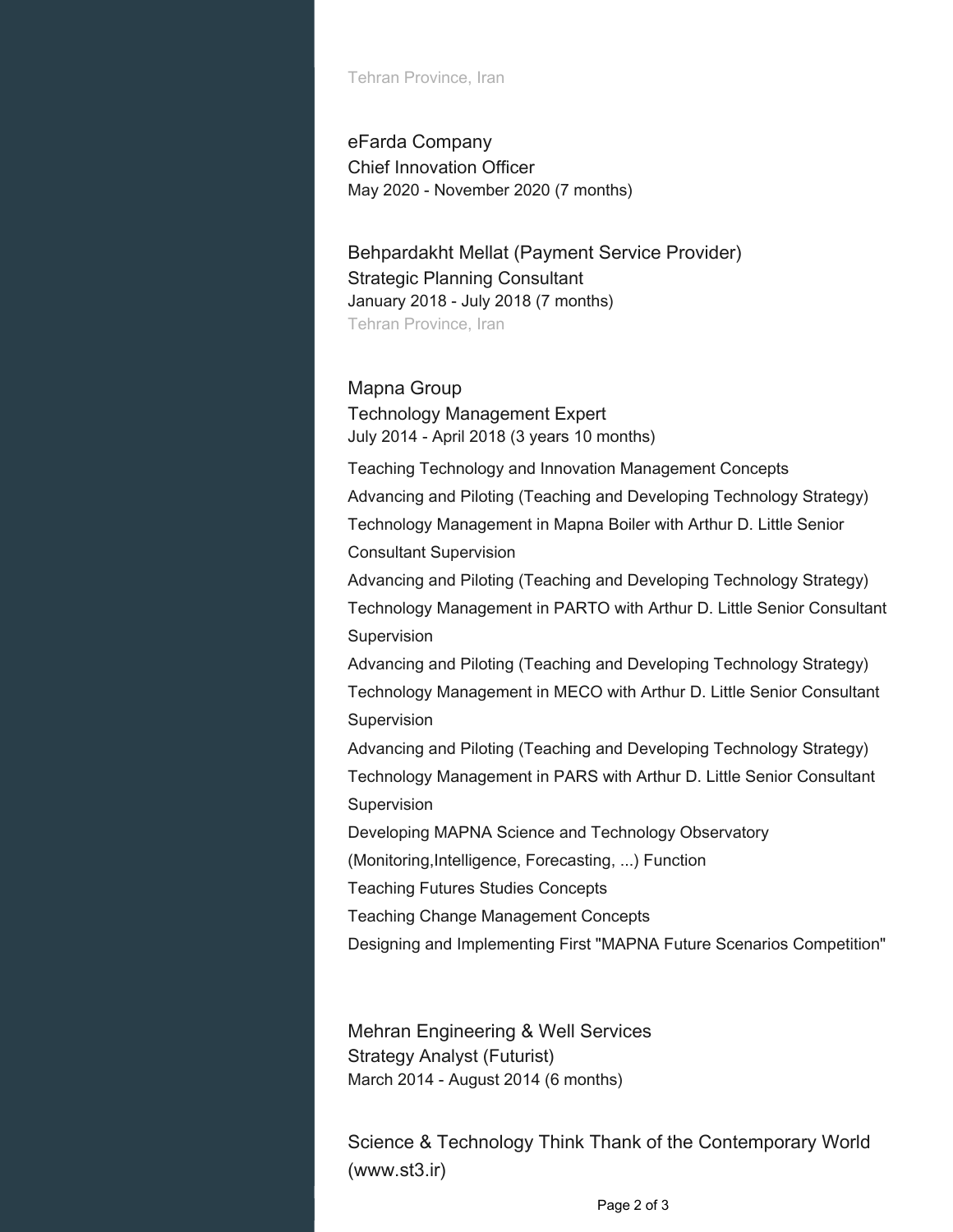Tehran Province, Iran

eFarda Company Chief Innovation Officer May 2020 - November 2020 (7 months)

Behpardakht Mellat (Payment Service Provider) Strategic Planning Consultant January 2018 - July 2018 (7 months) Tehran Province, Iran

#### Mapna Group

Technology Management Expert July 2014 - April 2018 (3 years 10 months)

Teaching Technology and Innovation Management Concepts Advancing and Piloting (Teaching and Developing Technology Strategy) Technology Management in Mapna Boiler with Arthur D. Little Senior Consultant Supervision

Advancing and Piloting (Teaching and Developing Technology Strategy) Technology Management in PARTO with Arthur D. Little Senior Consultant **Supervision** 

Advancing and Piloting (Teaching and Developing Technology Strategy) Technology Management in MECO with Arthur D. Little Senior Consultant Supervision

Advancing and Piloting (Teaching and Developing Technology Strategy) Technology Management in PARS with Arthur D. Little Senior Consultant Supervision

Developing MAPNA Science and Technology Observatory

(Monitoring,Intelligence, Forecasting, ...) Function

Teaching Futures Studies Concepts

Teaching Change Management Concepts

Designing and Implementing First "MAPNA Future Scenarios Competition"

Mehran Engineering & Well Services Strategy Analyst (Futurist) March 2014 - August 2014 (6 months)

Science & Technology Think Thank of the Contemporary World (www.st3.ir)